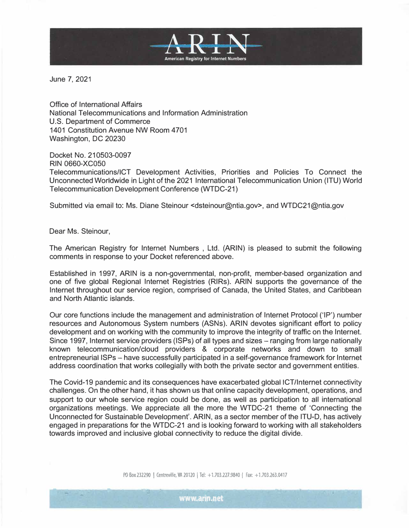

June 7, 2021

Office of International Affairs National Telecommunications and Information Administration U.S. Department of Commerce 1401 Constitution Avenue NW Room 4701 Washington, DC 20230

Docket No. 210503-0097 RIN 0660-XC0S0 Telecommunications/lCT Development Activities, Priorities and Policies To Connect the Unconnected Worldwide in Light of the 2021 International Telecommunication Union (ITU) World Telecommunication Development Conference (WTDC-21)

Submitted via email to: Ms. Diane Steinour <dsteinour@ntia.gov>, and WTDC21@ntia.gov

Dear Ms. Steinour,

The American Registry for Internet Numbers , Ltd. (ARIN) is pleased to submit the following comments in response to your Docket referenced above.

Established in 1997, ARIN is a non-governmental, non-profit, member-based organization and one of five global Regional Internet Registries (RIRs). ARIN supports the governance of the Internet throughout our service region, comprised of Canada, the United States, and Caribbean and North Atlantic islands.

Our core functions include the management and administration of Internet Protocol ('IP') number resources and Autonomous System numbers (ASNs). ARIN devotes significant effort to policy development and on working with the community to improve the integrity of traffic on the Internet. Since 1997, Internet service providers (ISPs) of all types and sizes – ranging from large nationally known telecommunication/cloud providers & corporate networks and down to small entrepreneurial ISPs - have successfully participated in a self-governance framework for Internet address coordination that works collegially with both the private sector and government entities.

The Covid-19 pandemic and its consequences have exacerbated global !CT/Internet connectivity challenges. On the other hand, it has shown us that on line capacity development, operations, and support to our whole service region could be done, as well as participation to all international organizations meetings. We appreciate all the more the WTDC-21 theme of 'Connecting the Unconnected for Sustainable Development'. ARIN, as a sector member of the ITU-D, has actively engaged in preparations for the WTDC-21 and is looking forward to working with all stakeholders towards improved and inclusive global connectivity to reduce the digital divide.

PO Box 232290 | Centreville, VA 20120 | Tel: +1.703.227.9840 | Fax: +1.703.263.0417

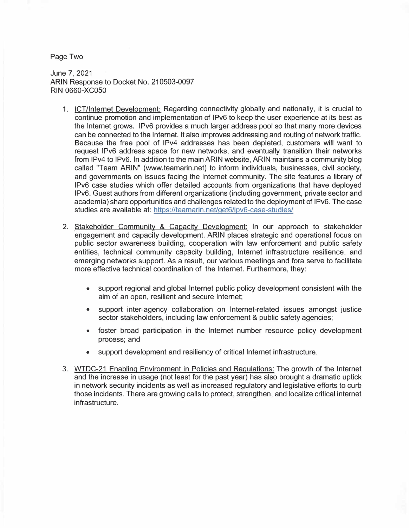Page Two

June 7, 2021 ARIN Response to Docket No. 210503-0097 RIN 0660-XC050

- 1. !CT/Internet Development: Regarding connectivity globally and nationally, it is crucial to continue promotion and implementation of IPv6 to keep the user experience at its best as the Internet grows. IPv6 provides a much larger address pool so that many more devices can be connected to the Internet. It also improves addressing and routing of network traffic. Because the free pool of IPv4 addresses has been depleted, customers will want to request IPv6 address space for new networks, and eventually transition their networks from IPv4 to IPv6. In addition to the main ARIN website, ARIN maintains a community blog called "Team ARIN" (www.teamarin.net) to inform individuals, businesses, civil society, and governments on issues facing the Internet community. The site features a library of IPv6 case studies which offer detailed accounts from organizations that have deployed IPv6. Guest authors from different organizations (including government, private sector and academia) share opportunities and challenges related to the deployment of IPv6. The case studies are available at: https://teamarin.net/get6/ipv6-case-studies/
- 2. Stakeholder Community & Capacity Development: In our approach to stakeholder engagement and capacity development, ARIN places strategic and operational focus on public sector awareness building, cooperation with law enforcement and public safety entities, technical community capacity building, Internet infrastructure resilience, and emerging networks support. As a result, our various meetings and fora serve to facilitate more effective technical coordination of the Internet. Furthermore, they:
	- support regional and global Internet public policy development consistent with the aim of an open, resilient and secure Internet;
	- support inter-agency collaboration on Internet-related issues amongst justice sector stakeholders, including law enforcement & public safety agencies;
	- foster broad participation in the Internet number resource policy development process; and
	- support development and resiliency of critical Internet infrastructure.
- 3. WTDC-21 Enabling Environment in Policies and Regulations: The growth of the Internet and the increase in usage (not least for the past year) has also brought a dramatic uptick in network security incidents as well as increased regulatory and legislative efforts to curb those incidents. There are growing calls to protect, strengthen, and localize critical internet infrastructure.